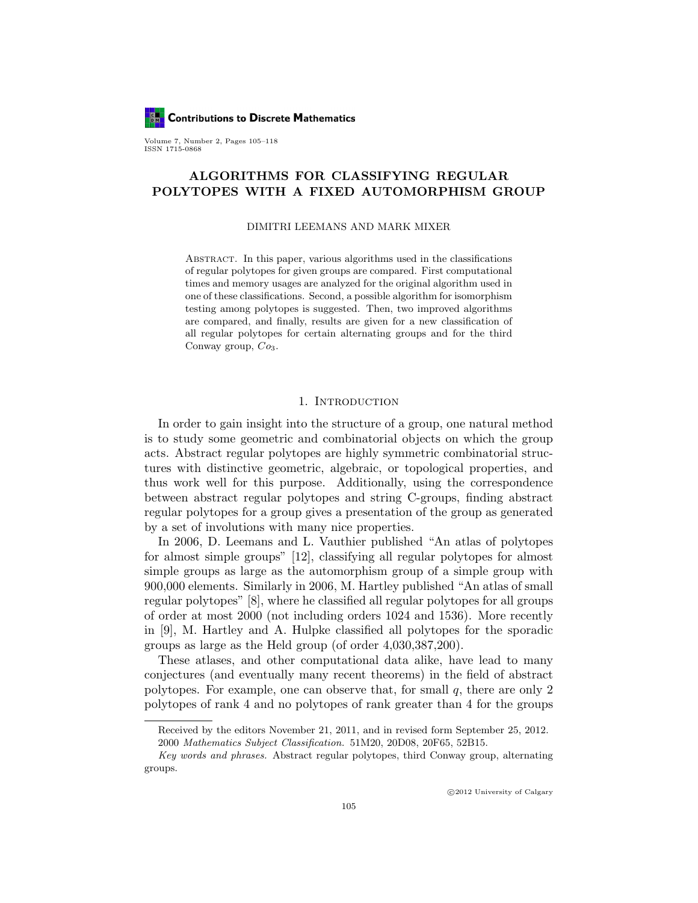**Contributions to Discrete Mathematics** 

Volume 7, Number 2, Pages 105–118 ISSN 1715-0868

# ALGORITHMS FOR CLASSIFYING REGULAR POLYTOPES WITH A FIXED AUTOMORPHISM GROUP

#### DIMITRI LEEMANS AND MARK MIXER

Abstract. In this paper, various algorithms used in the classifications of regular polytopes for given groups are compared. First computational times and memory usages are analyzed for the original algorithm used in one of these classifications. Second, a possible algorithm for isomorphism testing among polytopes is suggested. Then, two improved algorithms are compared, and finally, results are given for a new classification of all regular polytopes for certain alternating groups and for the third Conway group,  $Co<sub>3</sub>$ .

# 1. INTRODUCTION

In order to gain insight into the structure of a group, one natural method is to study some geometric and combinatorial objects on which the group acts. Abstract regular polytopes are highly symmetric combinatorial structures with distinctive geometric, algebraic, or topological properties, and thus work well for this purpose. Additionally, using the correspondence between abstract regular polytopes and string C-groups, finding abstract regular polytopes for a group gives a presentation of the group as generated by a set of involutions with many nice properties.

In 2006, D. Leemans and L. Vauthier published "An atlas of polytopes for almost simple groups" [12], classifying all regular polytopes for almost simple groups as large as the automorphism group of a simple group with 900,000 elements. Similarly in 2006, M. Hartley published "An atlas of small regular polytopes" [8], where he classified all regular polytopes for all groups of order at most 2000 (not including orders 1024 and 1536). More recently in [9], M. Hartley and A. Hulpke classified all polytopes for the sporadic groups as large as the Held group (of order 4,030,387,200).

These atlases, and other computational data alike, have lead to many conjectures (and eventually many recent theorems) in the field of abstract polytopes. For example, one can observe that, for small  $q$ , there are only 2 polytopes of rank 4 and no polytopes of rank greater than 4 for the groups

Received by the editors November 21, 2011, and in revised form September 25, 2012. 2000 Mathematics Subject Classification. 51M20, 20D08, 20F65, 52B15.

Key words and phrases. Abstract regular polytopes, third Conway group, alternating groups.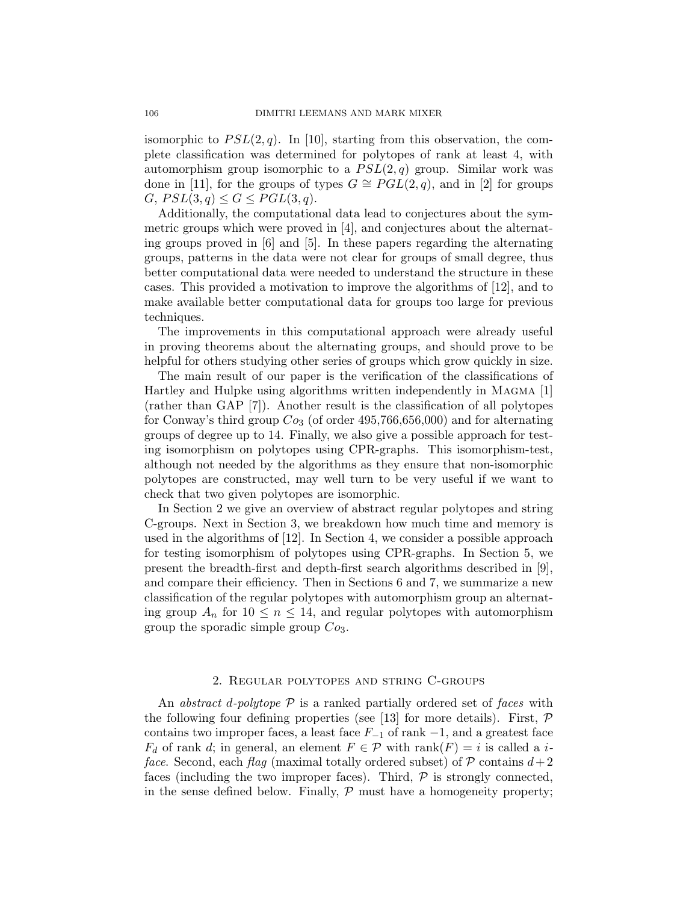isomorphic to  $PSL(2,q)$ . In [10], starting from this observation, the complete classification was determined for polytopes of rank at least 4, with automorphism group isomorphic to a  $PSL(2,q)$  group. Similar work was done in [11], for the groups of types  $G \cong PGL(2,q)$ , and in [2] for groups  $G, PSL(3,q) \leq G \leq PGL(3,q).$ 

Additionally, the computational data lead to conjectures about the symmetric groups which were proved in [4], and conjectures about the alternating groups proved in [6] and [5]. In these papers regarding the alternating groups, patterns in the data were not clear for groups of small degree, thus better computational data were needed to understand the structure in these cases. This provided a motivation to improve the algorithms of [12], and to make available better computational data for groups too large for previous techniques.

The improvements in this computational approach were already useful in proving theorems about the alternating groups, and should prove to be helpful for others studying other series of groups which grow quickly in size.

The main result of our paper is the verification of the classifications of Hartley and Hulpke using algorithms written independently in Magma [1] (rather than GAP [7]). Another result is the classification of all polytopes for Conway's third group  $Co_3$  (of order 495,766,656,000) and for alternating groups of degree up to 14. Finally, we also give a possible approach for testing isomorphism on polytopes using CPR-graphs. This isomorphism-test, although not needed by the algorithms as they ensure that non-isomorphic polytopes are constructed, may well turn to be very useful if we want to check that two given polytopes are isomorphic.

In Section 2 we give an overview of abstract regular polytopes and string C-groups. Next in Section 3, we breakdown how much time and memory is used in the algorithms of [12]. In Section 4, we consider a possible approach for testing isomorphism of polytopes using CPR-graphs. In Section 5, we present the breadth-first and depth-first search algorithms described in [9], and compare their efficiency. Then in Sections 6 and 7, we summarize a new classification of the regular polytopes with automorphism group an alternating group  $A_n$  for  $10 \leq n \leq 14$ , and regular polytopes with automorphism group the sporadic simple group  $Co<sub>3</sub>$ .

# 2. Regular polytopes and string C-groups

An abstract d-polytope  $P$  is a ranked partially ordered set of faces with the following four defining properties (see [13] for more details). First,  $\mathcal P$ contains two improper faces, a least face  $F_{-1}$  of rank  $-1$ , and a greatest face  $F_d$  of rank d; in general, an element  $F \in \mathcal{P}$  with rank $(F) = i$  is called a iface. Second, each flag (maximal totally ordered subset) of  $P$  contains  $d+2$ faces (including the two improper faces). Third,  $P$  is strongly connected, in the sense defined below. Finally,  $P$  must have a homogeneity property;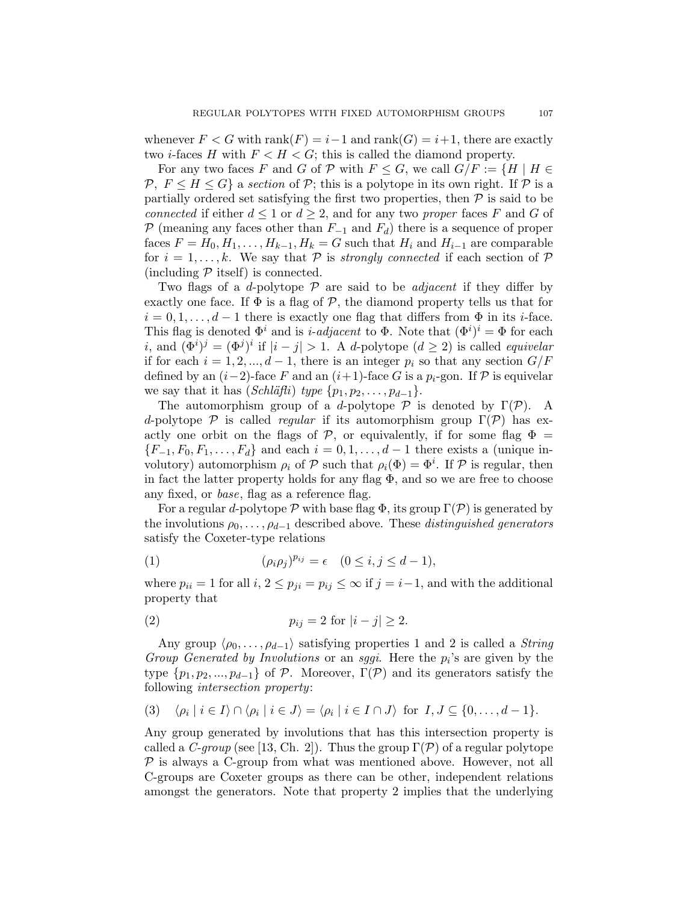whenever  $F < G$  with rank $(F) = i-1$  and rank $(G) = i+1$ , there are exactly two *i*-faces H with  $F < H < G$ ; this is called the diamond property.

For any two faces F and G of P with  $F \leq G$ , we call  $G/F := \{H \mid H \in$ P,  $F \leq H \leq G$  a section of P; this is a polytope in its own right. If P is a partially ordered set satisfying the first two properties, then  $P$  is said to be connected if either  $d \leq 1$  or  $d \geq 2$ , and for any two proper faces F and G of P (meaning any faces other than  $F_{-1}$  and  $F_d$ ) there is a sequence of proper faces  $F = H_0, H_1, \ldots, H_{k-1}, H_k = G$  such that  $H_i$  and  $H_{i-1}$  are comparable for  $i = 1, \ldots, k$ . We say that P is strongly connected if each section of P (including  $P$  itself) is connected.

Two flags of a d-polytope  $P$  are said to be *adjacent* if they differ by exactly one face. If  $\Phi$  is a flag of  $P$ , the diamond property tells us that for  $i = 0, 1, \ldots, d - 1$  there is exactly one flag that differs from  $\Phi$  in its *i*-face. This flag is denoted  $\Phi^i$  and is *i-adjacent* to  $\Phi$ . Note that  $(\Phi^i)^i = \Phi$  for each i, and  $(\Phi^i)^j = (\Phi^j)^i$  if  $|i-j| > 1$ . A d-polytope  $(d \geq 2)$  is called *equivelar* if for each  $i = 1, 2, ..., d - 1$ , there is an integer  $p_i$  so that any section  $G/F$ defined by an  $(i-2)$ -face F and an  $(i+1)$ -face G is a  $p_i$ -gon. If P is equivelar we say that it has  $(Schl\ddot{\alpha}fli)$  type  $\{p_1, p_2, \ldots, p_{d-1}\}.$ 

The automorphism group of a d-polytope  $P$  is denoted by  $\Gamma(\mathcal{P})$ . A d-polytope  $P$  is called *regular* if its automorphism group  $\Gamma(\mathcal{P})$  has exactly one orbit on the flags of P, or equivalently, if for some flag  $\Phi =$  ${F_{-1}, F_0, F_1, \ldots, F_d}$  and each  $i = 0, 1, \ldots, d - 1$  there exists a (unique involutory) automorphism  $\rho_i$  of  $P$  such that  $\rho_i(\Phi) = \Phi^i$ . If  $P$  is regular, then in fact the latter property holds for any flag  $\Phi$ , and so we are free to choose any fixed, or base, flag as a reference flag.

For a regular d-polytope  $\mathcal P$  with base flag  $\Phi$ , its group  $\Gamma(\mathcal P)$  is generated by the involutions  $\rho_0, \ldots, \rho_{d-1}$  described above. These *distinguished generators* satisfy the Coxeter-type relations

(1) 
$$
(\rho_i \rho_j)^{p_{ij}} = \epsilon \quad (0 \le i, j \le d-1),
$$

where  $p_{ii} = 1$  for all  $i, 2 \leq p_{ii} = p_{ij} \leq \infty$  if  $j = i-1$ , and with the additional property that

(2) 
$$
p_{ij} = 2 \text{ for } |i - j| \ge 2.
$$

Any group  $\langle \rho_0, \ldots, \rho_{d-1} \rangle$  satisfying properties 1 and 2 is called a *String* Group Generated by Involutions or an sggi. Here the  $p_i$ 's are given by the type  $\{p_1, p_2, ..., p_{d-1}\}\$  of P. Moreover,  $\Gamma(\mathcal{P})$  and its generators satisfy the following intersection property:

$$
(3) \quad \langle \rho_i \mid i \in I \rangle \cap \langle \rho_i \mid i \in J \rangle = \langle \rho_i \mid i \in I \cap J \rangle \text{ for } I, J \subseteq \{0, \ldots, d-1\}.
$$

Any group generated by involutions that has this intersection property is called a C-group (see [13, Ch. 2]). Thus the group  $\Gamma(\mathcal{P})$  of a regular polytope  $P$  is always a C-group from what was mentioned above. However, not all C-groups are Coxeter groups as there can be other, independent relations amongst the generators. Note that property 2 implies that the underlying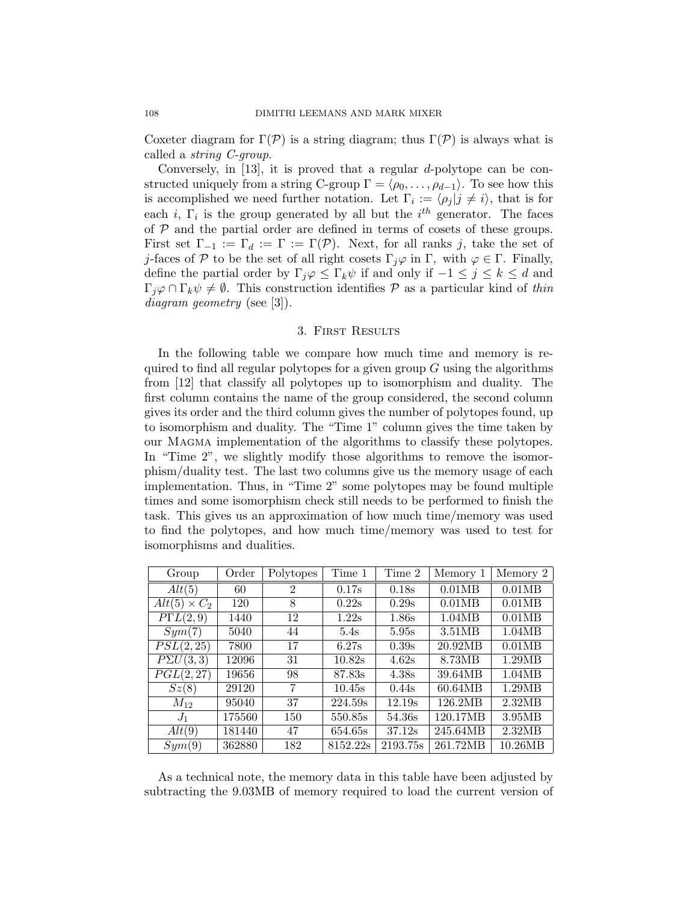Coxeter diagram for  $\Gamma(\mathcal{P})$  is a string diagram; thus  $\Gamma(\mathcal{P})$  is always what is called a string C-group.

Conversely, in [13], it is proved that a regular d-polytope can be constructed uniquely from a string C-group  $\Gamma = \langle \rho_0, \ldots, \rho_{d-1} \rangle$ . To see how this is accomplished we need further notation. Let  $\Gamma_i := \langle \rho_j | j \neq i \rangle$ , that is for each *i*,  $\Gamma_i$  is the group generated by all but the  $i^{th}$  generator. The faces of  $P$  and the partial order are defined in terms of cosets of these groups. First set  $\Gamma_{-1} := \Gamma_d := \Gamma := \Gamma(\mathcal{P})$ . Next, for all ranks j, take the set of j-faces of P to be the set of all right cosets  $\Gamma_j\varphi$  in  $\Gamma$ , with  $\varphi \in \Gamma$ . Finally, define the partial order by  $\Gamma_j \varphi \leq \Gamma_k \psi$  if and only if  $-1 \leq j \leq k \leq d$  and  $\Gamma_j \varphi \cap \Gamma_k \psi \neq \emptyset$ . This construction identifies  $\mathcal P$  as a particular kind of thin diagram geometry (see [3]).

## 3. First Results

In the following table we compare how much time and memory is required to find all regular polytopes for a given group  $G$  using the algorithms from [12] that classify all polytopes up to isomorphism and duality. The first column contains the name of the group considered, the second column gives its order and the third column gives the number of polytopes found, up to isomorphism and duality. The "Time 1" column gives the time taken by our Magma implementation of the algorithms to classify these polytopes. In "Time 2", we slightly modify those algorithms to remove the isomorphism/duality test. The last two columns give us the memory usage of each implementation. Thus, in "Time 2" some polytopes may be found multiple times and some isomorphism check still needs to be performed to finish the task. This gives us an approximation of how much time/memory was used to find the polytopes, and how much time/memory was used to test for isomorphisms and dualities.

| Group               | Order  | Polytopes      | Time 1   | Time 2   | Memory 1 | Memory 2 |
|---------------------|--------|----------------|----------|----------|----------|----------|
| Alt(5)              | 60     | $\mathfrak{D}$ | 0.17s    | 0.18s    | 0.01MB   | 0.01MB   |
| $Alt(5) \times C_2$ | 120    | 8              | 0.22s    | 0.29s    | 0.01MB   | 0.01MB   |
| $P\Gamma L(2,9)$    | 1440   | 12             | 1.22s    | 1.86s    | 1.04MB   | 0.01MB   |
| Sym(7)              | 5040   | 44             | 5.4s     | 5.95s    | 3.51MB   | 1.04MB   |
| PSL(2,25)           | 7800   | 17             | 6.27s    | 0.39s    | 20.92MB  | 0.01MB   |
| $P\Sigma U(3,3)$    | 12096  | 31             | 10.82s   | 4.62s    | 8.73MB   | 1.29MB   |
| PGL(2,27)           | 19656  | 98             | 87.83s   | 4.38s    | 39.64MB  | 1.04MB   |
| Sz(8)               | 29120  | 7              | 10.45s   | 0.44s    | 60.64MB  | 1.29MB   |
| $M_{12}$            | 95040  | 37             | 224.59s  | 12.19s   | 126.2MB  | 2.32MB   |
| $J_1$               | 175560 | 150            | 550.85s  | 54.36s   | 120.17MB | 3.95MB   |
| Alt(9)              | 181440 | 47             | 654.65s  | 37.12s   | 245.64MB | 2.32MB   |
| Sym(9)              | 362880 | 182            | 8152.22s | 2193.75s | 261.72MB | 10.26MB  |

As a technical note, the memory data in this table have been adjusted by subtracting the 9.03MB of memory required to load the current version of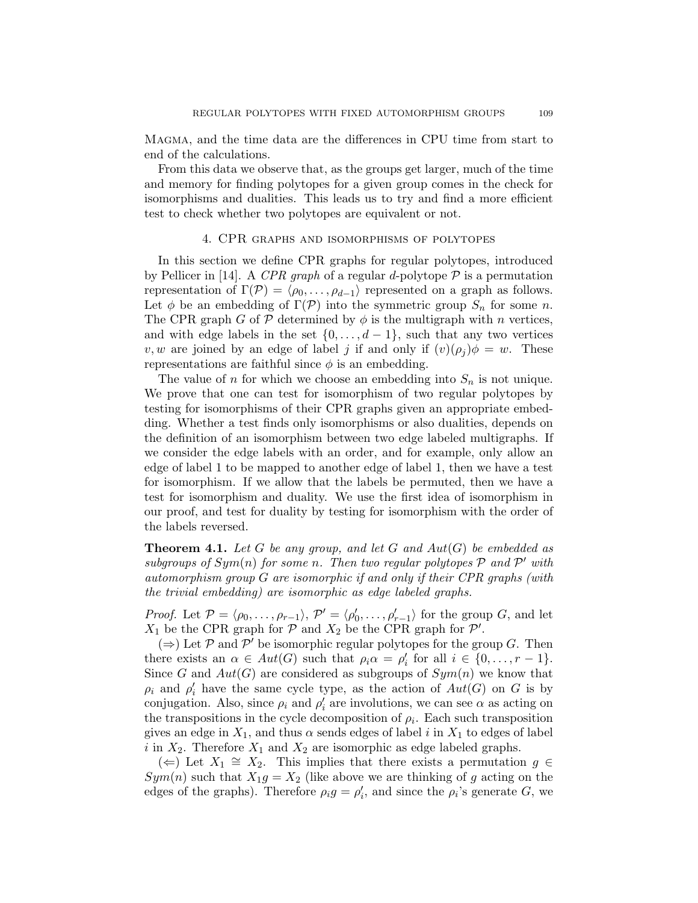Magma, and the time data are the differences in CPU time from start to end of the calculations.

From this data we observe that, as the groups get larger, much of the time and memory for finding polytopes for a given group comes in the check for isomorphisms and dualities. This leads us to try and find a more efficient test to check whether two polytopes are equivalent or not.

# 4. CPR graphs and isomorphisms of polytopes

In this section we define CPR graphs for regular polytopes, introduced by Pellicer in [14]. A CPR graph of a regular d-polytope  $P$  is a permutation representation of  $\Gamma(\mathcal{P}) = \langle \rho_0, \ldots, \rho_{d-1} \rangle$  represented on a graph as follows. Let  $\phi$  be an embedding of  $\Gamma(\mathcal{P})$  into the symmetric group  $S_n$  for some n. The CPR graph G of  $P$  determined by  $\phi$  is the multigraph with n vertices, and with edge labels in the set  $\{0, \ldots, d-1\}$ , such that any two vertices v, w are joined by an edge of label j if and only if  $(v)(\rho_i)\phi = w$ . These representations are faithful since  $\phi$  is an embedding.

The value of n for which we choose an embedding into  $S_n$  is not unique. We prove that one can test for isomorphism of two regular polytopes by testing for isomorphisms of their CPR graphs given an appropriate embedding. Whether a test finds only isomorphisms or also dualities, depends on the definition of an isomorphism between two edge labeled multigraphs. If we consider the edge labels with an order, and for example, only allow an edge of label 1 to be mapped to another edge of label 1, then we have a test for isomorphism. If we allow that the labels be permuted, then we have a test for isomorphism and duality. We use the first idea of isomorphism in our proof, and test for duality by testing for isomorphism with the order of the labels reversed.

**Theorem 4.1.** Let G be any group, and let G and  $Aut(G)$  be embedded as subgroups of  $Sym(n)$  for some n. Then two regular polytopes  $P$  and  $P'$  with automorphism group G are isomorphic if and only if their CPR graphs (with the trivial embedding) are isomorphic as edge labeled graphs.

*Proof.* Let  $\mathcal{P} = \langle \rho_0, \ldots, \rho_{r-1} \rangle$ ,  $\mathcal{P}' = \langle \rho'_0, \ldots, \rho'_{r-1} \rangle$  for the group G, and let  $X_1$  be the CPR graph for  $P$  and  $X_2$  be the CPR graph for  $P'$ .

 $(\Rightarrow)$  Let P and P' be isomorphic regular polytopes for the group G. Then there exists an  $\alpha \in Aut(G)$  such that  $\rho_i \alpha = \rho'_i$  for all  $i \in \{0, ..., r-1\}$ . Since G and  $Aut(G)$  are considered as subgroups of  $Sym(n)$  we know that  $\rho_i$  and  $\rho'_i$  have the same cycle type, as the action of  $Aut(G)$  on G is by conjugation. Also, since  $\rho_i$  and  $\rho'_i$  are involutions, we can see  $\alpha$  as acting on the transpositions in the cycle decomposition of  $\rho_i$ . Each such transposition gives an edge in  $X_1$ , and thus  $\alpha$  sends edges of label i in  $X_1$  to edges of label i in  $X_2$ . Therefore  $X_1$  and  $X_2$  are isomorphic as edge labeled graphs.

(←) Let  $X_1 \cong X_2$ . This implies that there exists a permutation  $g \in$  $Sym(n)$  such that  $X_1g = X_2$  (like above we are thinking of g acting on the edges of the graphs). Therefore  $\rho_i g = \rho'_i$ , and since the  $\rho_i$ 's generate G, we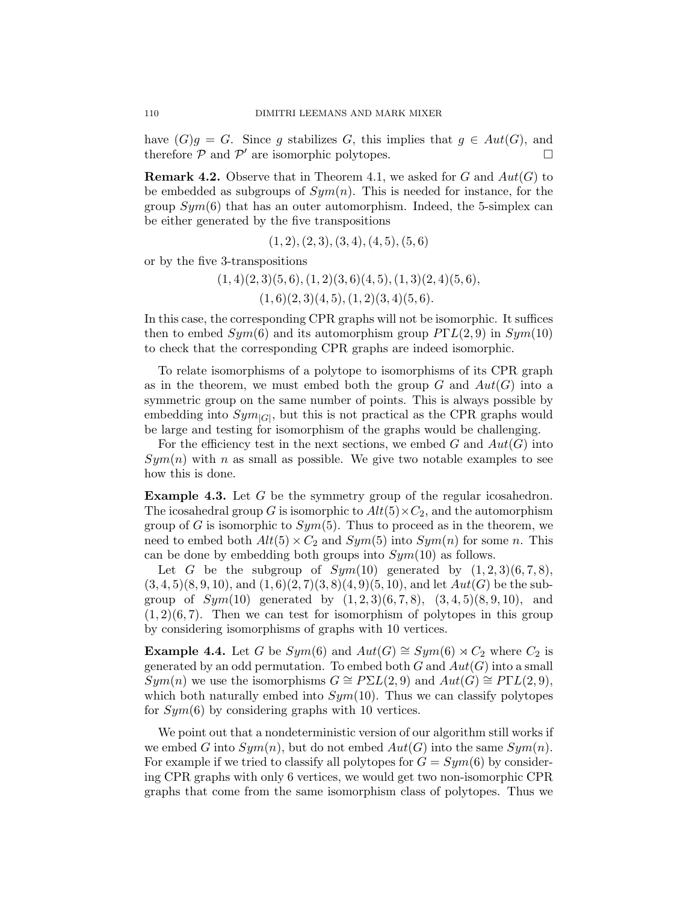have  $(G)g = G$ . Since g stabilizes G, this implies that  $g \in Aut(G)$ , and therefore  $P$  and  $P'$  are isomorphic polytopes.

**Remark 4.2.** Observe that in Theorem 4.1, we asked for G and  $Aut(G)$  to be embedded as subgroups of  $Sym(n)$ . This is needed for instance, for the group  $Sym(6)$  that has an outer automorphism. Indeed, the 5-simplex can be either generated by the five transpositions

$$
(1,2), (2,3), (3,4), (4,5), (5,6)
$$

or by the five 3-transpositions

 $(1, 4)(2, 3)(5, 6), (1, 2)(3, 6)(4, 5), (1, 3)(2, 4)(5, 6),$ 

 $(1, 6)(2, 3)(4, 5), (1, 2)(3, 4)(5, 6).$ 

In this case, the corresponding CPR graphs will not be isomorphic. It suffices then to embed  $Sym(6)$  and its automorphism group  $P\Gamma L(2,9)$  in  $Sym(10)$ to check that the corresponding CPR graphs are indeed isomorphic.

To relate isomorphisms of a polytope to isomorphisms of its CPR graph as in the theorem, we must embed both the group  $G$  and  $Aut(G)$  into a symmetric group on the same number of points. This is always possible by embedding into  $Sym_{|G|}$ , but this is not practical as the CPR graphs would be large and testing for isomorphism of the graphs would be challenging.

For the efficiency test in the next sections, we embed  $G$  and  $Aut(G)$  into  $Sym(n)$  with n as small as possible. We give two notable examples to see how this is done.

Example 4.3. Let G be the symmetry group of the regular icosahedron. The icosahedral group G is isomorphic to  $Alt(5) \times C_2$ , and the automorphism group of G is isomorphic to  $Sym(5)$ . Thus to proceed as in the theorem, we need to embed both  $Alt(5) \times C_2$  and  $Sym(5)$  into  $Sym(n)$  for some n. This can be done by embedding both groups into  $Sym(10)$  as follows.

Let G be the subgroup of  $Sym(10)$  generated by  $(1, 2, 3)(6, 7, 8)$ ,  $(3,4,5)(8,9,10)$ , and  $(1,6)(2,7)(3,8)(4,9)(5,10)$ , and let  $Aut(G)$  be the subgroup of  $Sym(10)$  generated by  $(1, 2, 3)(6, 7, 8)$ ,  $(3, 4, 5)(8, 9, 10)$ , and  $(1, 2)(6, 7)$ . Then we can test for isomorphism of polytopes in this group by considering isomorphisms of graphs with 10 vertices.

**Example 4.4.** Let G be  $Sym(6)$  and  $Aut(G) \cong Sym(6) \rtimes C_2$  where  $C_2$  is generated by an odd permutation. To embed both  $G$  and  $Aut(G)$  into a small  $Sym(n)$  we use the isomorphisms  $G \cong P\Sigma L(2,9)$  and  $Aut(G) \cong P\Gamma L(2,9)$ , which both naturally embed into  $Sym(10)$ . Thus we can classify polytopes for  $Sym(6)$  by considering graphs with 10 vertices.

We point out that a nondeterministic version of our algorithm still works if we embed G into  $Sym(n)$ , but do not embed  $Aut(G)$  into the same  $Sym(n)$ . For example if we tried to classify all polytopes for  $G = Sym(6)$  by considering CPR graphs with only 6 vertices, we would get two non-isomorphic CPR graphs that come from the same isomorphism class of polytopes. Thus we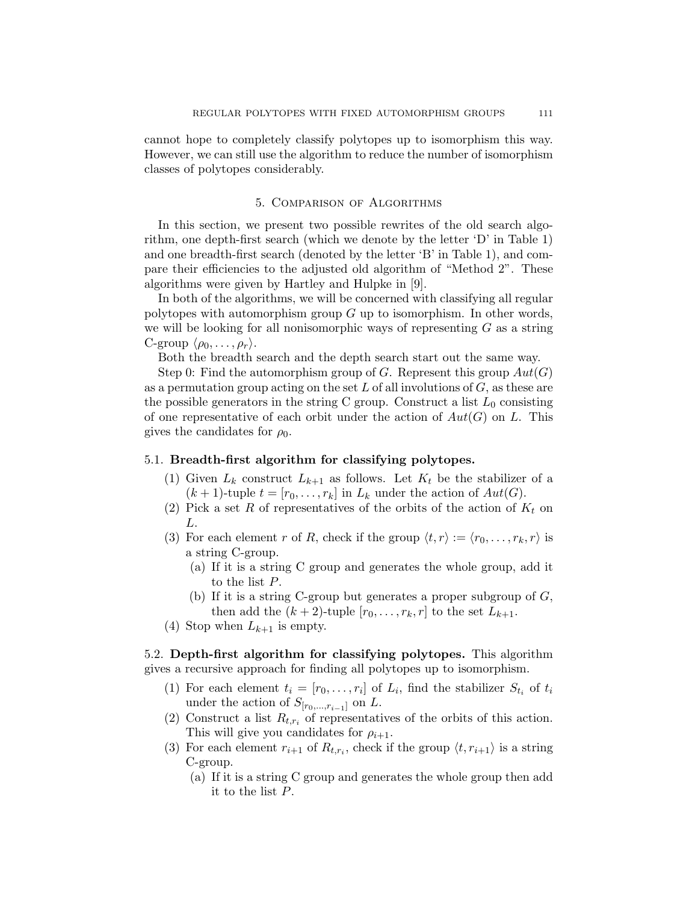cannot hope to completely classify polytopes up to isomorphism this way. However, we can still use the algorithm to reduce the number of isomorphism classes of polytopes considerably.

#### 5. Comparison of Algorithms

In this section, we present two possible rewrites of the old search algorithm, one depth-first search (which we denote by the letter 'D' in Table 1) and one breadth-first search (denoted by the letter 'B' in Table 1), and compare their efficiencies to the adjusted old algorithm of "Method 2". These algorithms were given by Hartley and Hulpke in [9].

In both of the algorithms, we will be concerned with classifying all regular polytopes with automorphism group  $G$  up to isomorphism. In other words, we will be looking for all nonisomorphic ways of representing  $G$  as a string C-group  $\langle \rho_0, \ldots, \rho_r \rangle$ .

Both the breadth search and the depth search start out the same way.

Step 0: Find the automorphism group of G. Represent this group  $Aut(G)$ as a permutation group acting on the set  $L$  of all involutions of  $G$ , as these are the possible generators in the string C group. Construct a list  $L_0$  consisting of one representative of each orbit under the action of  $Aut(G)$  on L. This gives the candidates for  $\rho_0$ .

## 5.1. Breadth-first algorithm for classifying polytopes.

- (1) Given  $L_k$  construct  $L_{k+1}$  as follows. Let  $K_t$  be the stabilizer of a  $(k + 1)$ -tuple  $t = [r_0, \ldots, r_k]$  in  $L_k$  under the action of  $Aut(G)$ .
- (2) Pick a set R of representatives of the orbits of the action of  $K_t$  on L.
- (3) For each element r of R, check if the group  $\langle t, r \rangle := \langle r_0, \ldots, r_k, r \rangle$  is a string C-group.
	- (a) If it is a string C group and generates the whole group, add it to the list P.
	- (b) If it is a string C-group but generates a proper subgroup of  $G$ , then add the  $(k+2)$ -tuple  $[r_0, \ldots, r_k, r]$  to the set  $L_{k+1}$ .
- (4) Stop when  $L_{k+1}$  is empty.

5.2. Depth-first algorithm for classifying polytopes. This algorithm gives a recursive approach for finding all polytopes up to isomorphism.

- (1) For each element  $t_i = [r_0, \ldots, r_i]$  of  $L_i$ , find the stabilizer  $S_{t_i}$  of  $t_i$ under the action of  $S_{[r_0,\ldots,r_{i-1}]}$  on L.
- (2) Construct a list  $R_{t,r_i}$  of representatives of the orbits of this action. This will give you candidates for  $\rho_{i+1}$ .
- (3) For each element  $r_{i+1}$  of  $R_{t,r_i}$ , check if the group  $\langle t, r_{i+1} \rangle$  is a string C-group.
	- (a) If it is a string C group and generates the whole group then add it to the list P.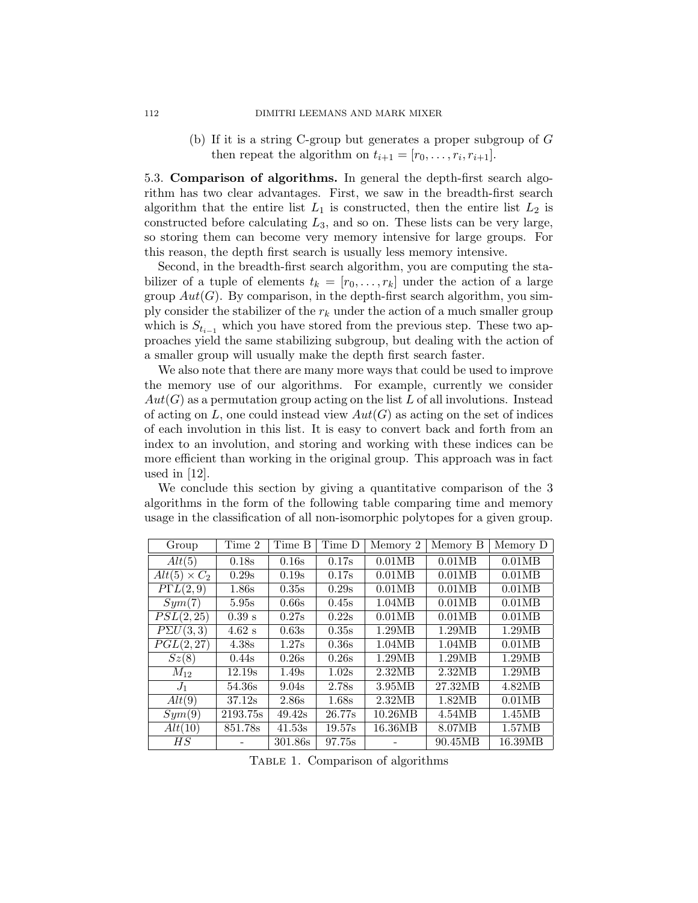#### 112 DIMITRI LEEMANS AND MARK MIXER

(b) If it is a string C-group but generates a proper subgroup of G then repeat the algorithm on  $t_{i+1} = [r_0, \ldots, r_i, r_{i+1}].$ 

5.3. Comparison of algorithms. In general the depth-first search algorithm has two clear advantages. First, we saw in the breadth-first search algorithm that the entire list  $L_1$  is constructed, then the entire list  $L_2$  is constructed before calculating  $L_3$ , and so on. These lists can be very large, so storing them can become very memory intensive for large groups. For this reason, the depth first search is usually less memory intensive.

Second, in the breadth-first search algorithm, you are computing the stabilizer of a tuple of elements  $t_k = [r_0, \ldots, r_k]$  under the action of a large group  $Aut(G)$ . By comparison, in the depth-first search algorithm, you simply consider the stabilizer of the  $r_k$  under the action of a much smaller group which is  $S_{t_{i-1}}$  which you have stored from the previous step. These two approaches yield the same stabilizing subgroup, but dealing with the action of a smaller group will usually make the depth first search faster.

We also note that there are many more ways that could be used to improve the memory use of our algorithms. For example, currently we consider  $Aut(G)$  as a permutation group acting on the list L of all involutions. Instead of acting on L, one could instead view  $Aut(G)$  as acting on the set of indices of each involution in this list. It is easy to convert back and forth from an index to an involution, and storing and working with these indices can be more efficient than working in the original group. This approach was in fact used in [12].

We conclude this section by giving a quantitative comparison of the 3 algorithms in the form of the following table comparing time and memory usage in the classification of all non-isomorphic polytopes for a given group.

|                     | Time 2   | Time B  | Time D |          |          |          |
|---------------------|----------|---------|--------|----------|----------|----------|
| Group               |          |         |        | Memory 2 | Memory B | Memory D |
| Alt(5)              | 0.18s    | 0.16s   | 0.17s  | 0.01MB   | 0.01MB   | 0.01MB   |
| $Alt(5) \times C_2$ | 0.29s    | 0.19s   | 0.17s  | 0.01MB   | 0.01MB   | 0.01MB   |
| $P\Gamma L(2,9)$    | 1.86s    | 0.35s   | 0.29s  | 0.01MB   | 0.01MB   | 0.01MB   |
| Sym(7)              | 5.95s    | 0.66s   | 0.45s  | 1.04MB   | 0.01MB   | 0.01MB   |
| PSL(2,25)           | $0.39$ s | 0.27s   | 0.22s  | 0.01MB   | 0.01MB   | 0.01MB   |
| $P\Sigma U(3,3)$    | $4.62$ s | 0.63s   | 0.35s  | 1.29MB   | 1.29MB   | 1.29MB   |
| PGL(2,27)           | 4.38s    | 1.27s   | 0.36s  | 1.04MB   | 1.04MB   | 0.01MB   |
| Sz(8)               | 0.44s    | 0.26s   | 0.26s  | 1.29MB   | 1.29MB   | 1.29MB   |
| $M_{12}$            | 12.19s   | 1.49s   | 1.02s  | 2.32MB   | 2.32MB   | 1.29MB   |
| $J_1$               | 54.36s   | 9.04s   | 2.78s  | 3.95MB   | 27.32MB  | 4.82MB   |
| Alt(9)              | 37.12s   | 2.86s   | 1.68s  | 2.32MB   | 1.82MB   | 0.01MB   |
| Sym(9)              | 2193.75s | 49.42s  | 26.77s | 10.26MB  | 4.54MB   | 1.45MB   |
| Alt(10)             | 851.78s  | 41.53s  | 19.57s | 16.36MB  | 8.07MB   | 1.57MB   |
| $_{HS}$             |          | 301.86s | 97.75s |          | 90.45MB  | 16.39MB  |

TABLE 1. Comparison of algorithms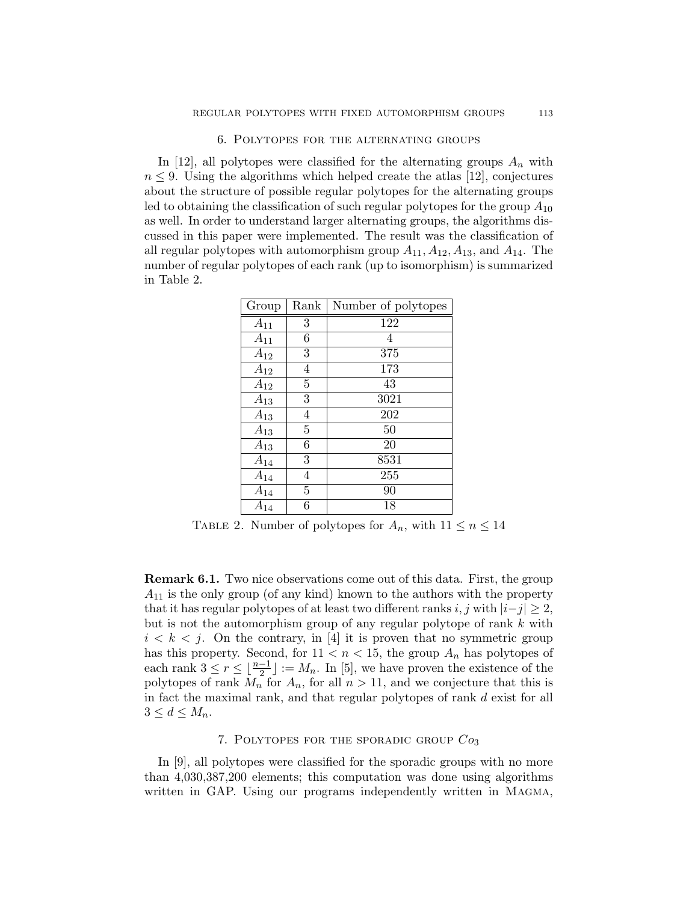#### 6. Polytopes for the alternating groups

In [12], all polytopes were classified for the alternating groups  $A_n$  with  $n \leq 9$ . Using the algorithms which helped create the atlas [12], conjectures about the structure of possible regular polytopes for the alternating groups led to obtaining the classification of such regular polytopes for the group  $A_{10}$ as well. In order to understand larger alternating groups, the algorithms discussed in this paper were implemented. The result was the classification of all regular polytopes with automorphism group  $A_{11}$ ,  $A_{12}$ ,  $A_{13}$ , and  $A_{14}$ . The number of regular polytopes of each rank (up to isomorphism) is summarized in Table 2.

| Group    | Rank           | Number of polytopes |
|----------|----------------|---------------------|
| $A_{11}$ | 3              | 122                 |
| $A_{11}$ | 6              | 4                   |
| $A_{12}$ | 3              | 375                 |
| $A_{12}$ | $\overline{4}$ | $\overline{1}73$    |
| $A_{12}$ | $\overline{5}$ | 43                  |
| $A_{13}$ | 3              | 3021                |
| $A_{13}$ | $\overline{4}$ | $\overline{202}$    |
| $A_{13}$ | $\overline{5}$ | 50                  |
| $A_{13}$ | 6              | 20                  |
| $A_{14}$ | 3              | 8531                |
| $A_{14}$ | $\overline{4}$ | 255                 |
| $A_{14}$ | $\overline{5}$ | 90                  |
| $A_{14}$ | 6              | 18                  |

TABLE 2. Number of polytopes for  $A_n$ , with  $11 \leq n \leq 14$ 

Remark 6.1. Two nice observations come out of this data. First, the group  $A_{11}$  is the only group (of any kind) known to the authors with the property that it has regular polytopes of at least two different ranks i, j with  $|i-j| \geq 2$ , but is not the automorphism group of any regular polytope of rank k with  $i < k < j$ . On the contrary, in [4] it is proven that no symmetric group has this property. Second, for  $11 < n < 15$ , the group  $A_n$  has polytopes of each rank  $3 \leq r \leq \lfloor \frac{n-1}{2} \rfloor := M_n$ . In [5], we have proven the existence of the polytopes of rank  $M_n$  for  $A_n$ , for all  $n > 11$ , and we conjecture that this is in fact the maximal rank, and that regular polytopes of rank d exist for all  $3 \leq d \leq M_n$ .

# 7. POLYTOPES FOR THE SPORADIC GROUP  $Co<sub>3</sub>$

In [9], all polytopes were classified for the sporadic groups with no more than 4,030,387,200 elements; this computation was done using algorithms written in GAP. Using our programs independently written in MAGMA,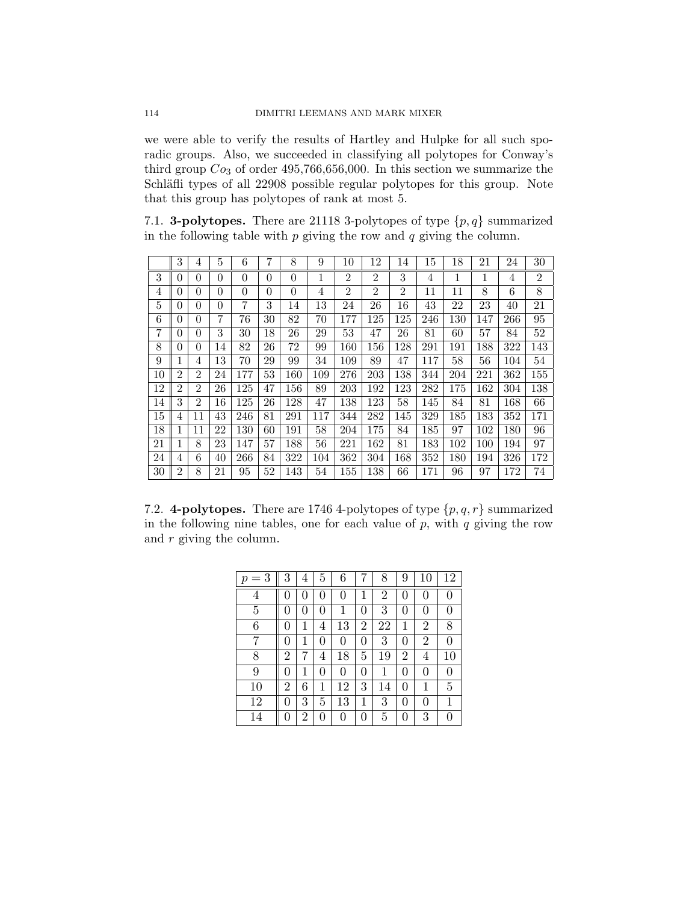we were able to verify the results of Hartley and Hulpke for all such sporadic groups. Also, we succeeded in classifying all polytopes for Conway's third group  $Co_3$  of order 495,766,656,000. In this section we summarize the Schläfli types of all 22908 possible regular polytopes for this group. Note that this group has polytopes of rank at most 5.

7.1. **3-polytopes.** There are 21118 3-polytopes of type  $\{p, q\}$  summarized in the following table with  $p$  giving the row and  $q$  giving the column.

|    | 3              | 4              | 5        | 6               | 7        | 8        | 9            | 10             | 12             | 14               | 15  | 18  | 21  | 24  | 30             |
|----|----------------|----------------|----------|-----------------|----------|----------|--------------|----------------|----------------|------------------|-----|-----|-----|-----|----------------|
| 3  | $\Omega$       | $\theta$       | $\theta$ | $\theta$        | $\theta$ | $\theta$ | $\mathbf{1}$ | $\overline{2}$ | $\overline{2}$ | 3                | 4   | 1   | 1   | 4   | $\overline{2}$ |
| 4  | 0              | 0              | $\theta$ | $\theta$        | $\theta$ | $\theta$ | 4            | $\overline{2}$ | $\overline{2}$ | $\overline{2}$   | 11  | 11  | 8   | 6   | 8              |
| 5  | 0              | 0              | 0        | 7               | 3        | 14       | 13           | 24             | 26             | 16               | 43  | 22  | 23  | 40  | 21             |
| 6  | 0              | $\theta$       | 7        | $\overline{76}$ | 30       | 82       | 70           | 177            | 125            | $\overline{125}$ | 246 | 130 | 147 | 266 | 95             |
| 7  | $\Omega$       | $\theta$       | 3        | 30              | 18       | 26       | 29           | 53             | 47             | 26               | 81  | 60  | 57  | 84  | 52             |
| 8  | 0              | 0              | 14       | 82              | 26       | 72       | 99           | 160            | 156            | 128              | 291 | 191 | 188 | 322 | 143            |
| 9  |                | 4              | 13       | 70              | 29       | 99       | 34           | 109            | 89             | 47               | 117 | 58  | 56  | 104 | 54             |
| 10 | $\overline{2}$ | $\overline{2}$ | 24       | 177             | 53       | 160      | 109          | 276            | 203            | 138              | 344 | 204 | 221 | 362 | 155            |
| 12 | $\overline{2}$ | $\overline{2}$ | 26       | 125             | 47       | 156      | 89           | 203            | 192            | 123              | 282 | 175 | 162 | 304 | 138            |
| 14 | 3              | $\overline{2}$ | 16       | 125             | 26       | 128      | 47           | 138            | 123            | 58               | 145 | 84  | 81  | 168 | 66             |
| 15 | 4              | 11             | 43       | 246             | 81       | 291      | 117          | 344            | 282            | 145              | 329 | 185 | 183 | 352 | 171            |
| 18 |                | 11             | 22       | 130             | 60       | 191      | 58           | 204            | 175            | 84               | 185 | 97  | 102 | 180 | 96             |
| 21 |                | 8              | 23       | 147             | 57       | 188      | 56           | 221            | 162            | 81               | 183 | 102 | 100 | 194 | 97             |
| 24 | 4              | 6              | 40       | 266             | 84       | 322      | 104          | 362            | 304            | 168              | 352 | 180 | 194 | 326 | 172            |
| 30 | $\overline{2}$ | 8              | 21       | 95              | 52       | 143      | 54           | 155            | 138            | 66               | 171 | 96  | 97  | 172 | 74             |

7.2. 4-polytopes. There are 1746 4-polytopes of type  $\{p,q,r\}$  summarized in the following nine tables, one for each value of  $p$ , with  $q$  giving the row and  $r$  giving the column.

| $p=3$          | 3                | 4            | 5 | 6              |              | 8  | 9              | 10             | 12 |
|----------------|------------------|--------------|---|----------------|--------------|----|----------------|----------------|----|
| $\overline{4}$ | $\left( \right)$ |              |   | 0              | $\mathbf{1}$ | 2  | 0              | 0              | 0  |
| 5              | 0                | $\mathbf{0}$ | 0 | 1              | 0            | 3  | 0              | 0              | 0  |
| 6              | 0                | 1            | 4 | 13             | 2            | 22 | $\mathbf 1$    | $\overline{2}$ | 8  |
| 7              | 0                | 1            | 0 | 0              | 0            | 3  | 0              | $\overline{2}$ | 0  |
| 8              | 2                | 7            | 4 | 18             | 5            | 19 | $\overline{2}$ | 4              | 10 |
| 9              | 0                | 1            | 0 | 0              | 0            | 1  | 0              | 0              | 0  |
| 10             | 2                | 6            | 1 | 12             | 3            | 14 | 0              | 1              | 5  |
| 12             | 0                | 3            | 5 | 13             | $\mathbf{1}$ | 3  | $\overline{0}$ | 0              | 1  |
| 14             | 0                | 2            | 0 | $\overline{0}$ | 0            | 5  | 0              | 3              | 0  |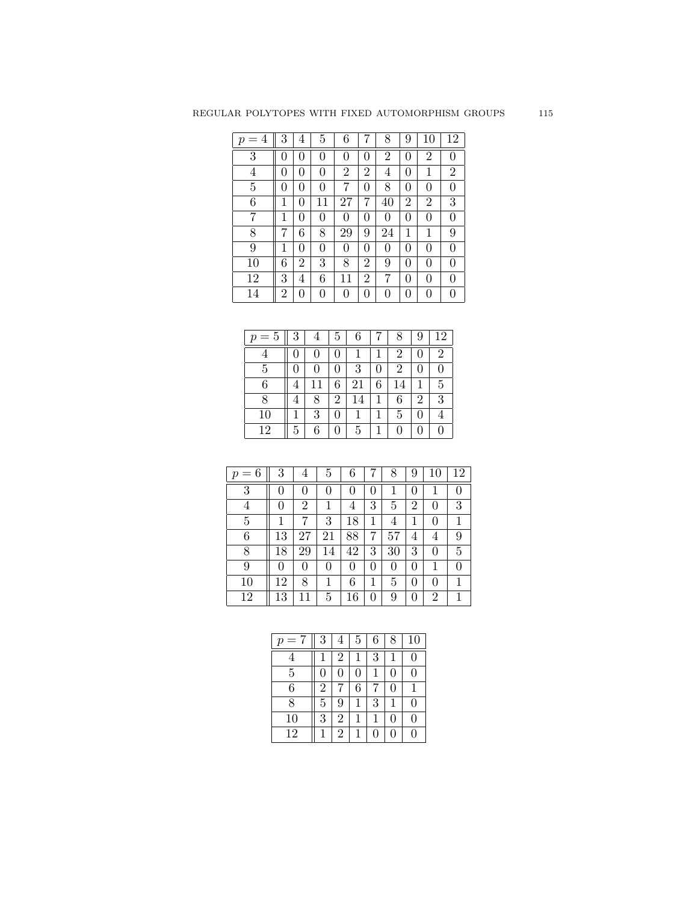| $=4$<br>$\boldsymbol{p}$ | 3 | 4 | 5  | 6        |                | 8              | 9            | 10             | 12               |
|--------------------------|---|---|----|----------|----------------|----------------|--------------|----------------|------------------|
| 3                        | 0 | 0 | 0  | $\theta$ | 0              | $\overline{2}$ | 0            | $\overline{2}$ | 0                |
| 4                        | 0 | 0 | 0  | 2        | $\overline{2}$ | 4              | 0            | 1              | $\overline{2}$   |
| 5                        | 0 | 0 | 0  | 7        | 0              | 8              | 0            | 0              | 0                |
| 6                        | 1 | 0 | 11 | 27       | 7              | 40             | 2            | $\overline{2}$ | 3                |
| 7                        | 1 | 0 | 0  | $\theta$ | 0              | 0              | 0            | 0              | 0                |
| 8                        |   | 6 | 8  | 29       | 9              | 24             | 1            | 1              | 9                |
| 9                        | 1 | 0 | 0  | 0        | 0              | 0              | 0            | 0              | 0                |
| 10                       | 6 | 2 | 3  | 8        | 2              | 9              | 0            | 0              | 0                |
| 12                       | 3 | 4 | 6  | 11       | 2              | 7              | $\mathbf{0}$ | 0              | 0                |
| 14                       | 2 | 0 | 0  | 0        | 0              | 0              | $\mathbf{0}$ | 0              | $\left( \right)$ |

| $p=5$ | 3 | 4  | 5 | 6  |   | 8  | 9 | 12             |
|-------|---|----|---|----|---|----|---|----------------|
| 4     |   |    | 0 |    |   | 2  | 0 | $\overline{2}$ |
| 5     | O |    | 0 | 3  | 0 | 2  | 0 |                |
| 6     | 4 | 11 | 6 | 21 | 6 | 14 |   | 5              |
| 8     | 4 | 8  | 2 | 14 |   | 6  | 2 | 3              |
| 10    |   | 3  | 0 |    |   | 5  | 0 |                |
| 12    | 5 | 6  | 0 | 5  |   | 0  | 0 |                |

| 6<br>$=$<br>$\boldsymbol{p}$ | 3  | 4              | 5  | 6        |   | 8  | 9        | 10             | 12 |
|------------------------------|----|----------------|----|----------|---|----|----------|----------------|----|
| 3                            | 0  | 0              | 0  | $\theta$ | 0 | 1  | $\theta$ | 1              |    |
| 4                            | 0  | $\overline{2}$ | 1  | 4        | 3 | 5  | 2        | 0              | 3  |
| 5                            | 1  | 7              | 3  | 18       | 1 | 4  | 1        | 0              | 1  |
| 6                            | 13 | 27             | 21 | 88       | 7 | 57 | 4        | 4              | 9  |
| 8                            | 18 | 29             | 14 | 42       | 3 | 30 | 3        | 0              | 5  |
| 9                            | 0  | 0              | 0  | 0        | 0 | 0  | 0        | 1              | 0  |
| 10                           | 12 | 8              | 1  | 6        | 1 | 5  | 0        | 0              |    |
| 12                           | 13 |                | 5  | 16       | 0 | 9  | 0        | $\overline{2}$ |    |

| $\tau$<br>$\boldsymbol{v}$<br>$=$ | 3              | $\overline{4}$ | 5 | 6            | 8                | 10 |
|-----------------------------------|----------------|----------------|---|--------------|------------------|----|
|                                   |                | 2              |   | 3            |                  | 0  |
| 5                                 | 0              | 0              | 0 | 1            | $\left( \right)$ | 0  |
| 6                                 | $\overline{2}$ |                | 6 |              | 0                |    |
| 8                                 | 5              | 9              | 1 | 3            |                  | ⋂  |
| 10                                | 3              | 2              | 1 |              | $\mathcal{O}$    | O  |
| 12                                |                | 2              | 1 | $\mathbf{0}$ |                  |    |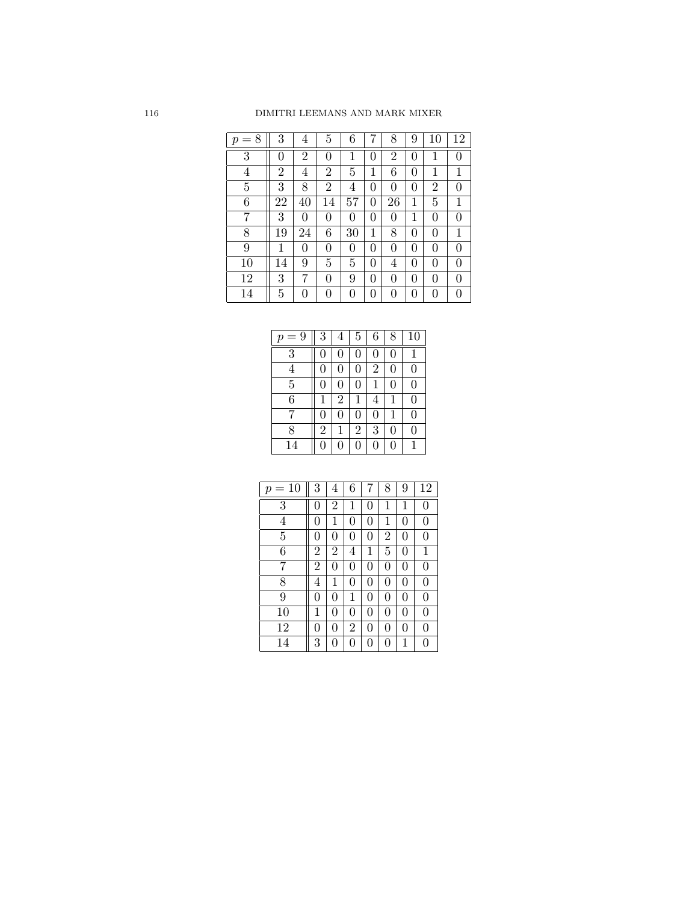| 8<br>$=$<br>$\boldsymbol{p}$ | 3              | 4              | 5              | 6  |   | 8              | 9              | 10             | 12 |
|------------------------------|----------------|----------------|----------------|----|---|----------------|----------------|----------------|----|
| 3                            | 0              | 2              | 0              | 1  | 0 | $\overline{2}$ | $\overline{0}$ | 1              | 0  |
| 4                            | $\overline{2}$ | 4              | $\overline{2}$ | 5  | 1 | 6              | $\overline{0}$ | 1              | 1  |
| 5                            | 3              | 8              | $\overline{2}$ | 4  | 0 | 0              | $\overline{0}$ | $\overline{2}$ | 0  |
| 6                            | 22             | 40             | 14             | 57 | 0 | 26             | 1              | 5              | 1  |
| 7                            | 3              | $\overline{0}$ | 0              | 0  | 0 | 0              | 1              | $\overline{0}$ | 0  |
| 8                            | 19             | 24             | 6              | 30 | 1 | 8              | $\overline{0}$ | 0              | 1  |
| 9                            | 1              | 0              | 0              | 0  | 0 | 0              | $\overline{0}$ | 0              | 0  |
| 10                           | 14             | 9              | 5              | 5  | 0 | 4              | $\overline{0}$ | $\overline{0}$ | 0  |
| 12                           | 3              | 7              | 0              | 9  | 0 | 0              | $\overline{0}$ | 0              | 0  |
| 14                           | 5              | 0              | 0              | 0  | 0 | 0              | 0              | 0              | 0  |

| $=9$<br>$\boldsymbol{p}$ | 3              | 4              | 5              | 6              | 8 | 10 |
|--------------------------|----------------|----------------|----------------|----------------|---|----|
| $\overline{3}$           | 0              | 0              | 0              | 0              | 0 |    |
| $\overline{4}$           | 0              | 0              | 0              | $\overline{2}$ | 0 | 0  |
| $\overline{5}$           | 0              | 0              | 0              | 1              | 0 | 0  |
| 6                        | 1              | $\overline{2}$ | 1              | 4              | 1 | 0  |
| 7                        | 0              | 0              | 0              | 0              | 1 | 0  |
| 8                        | $\overline{2}$ | 1              | $\overline{2}$ | 3              | 0 | 0  |
| 14                       | 0              | $\overline{0}$ | 0              | 0              | 0 | 1  |

| $=10$<br>$\mathcal{p}$ | 3              | 4              | 6              | 7        | 8              | 9              | 12             |
|------------------------|----------------|----------------|----------------|----------|----------------|----------------|----------------|
| $\overline{3}$         | 0              | $\overline{2}$ | 1              | 0        | $\mathbf 1$    | 1              | $\overline{0}$ |
| $\overline{4}$         | 0              | 1              | 0              | 0        | 1              | 0              | $\overline{0}$ |
| $\overline{5}$         | 0              | 0              | 0              | $\Omega$ | $\overline{2}$ | $\overline{0}$ | $\overline{0}$ |
| 6                      | $\overline{2}$ | $\overline{2}$ | 4              | 1        | 5              | 0              | $\mathbf{1}$   |
| 7                      | $\overline{2}$ | 0              | 0              | 0        | $\overline{0}$ | 0              | $\overline{0}$ |
| 8                      | 4              | 1              | 0              | $\Omega$ | $\overline{0}$ | 0              | $\overline{0}$ |
| 9                      | 0              | 0              | 1              | $\Omega$ | $\overline{0}$ | 0              | $\overline{0}$ |
| 10                     | $\mathbf{1}$   | 0              | 0              | $\Omega$ | $\overline{0}$ | 0              | $\Omega$       |
| 12                     | 0              | 0              | $\overline{2}$ | 0        | $\overline{0}$ | 0              | 0              |
| 14                     | 3              | 0              | 0              | 0        | $\overline{0}$ | 1              | 0              |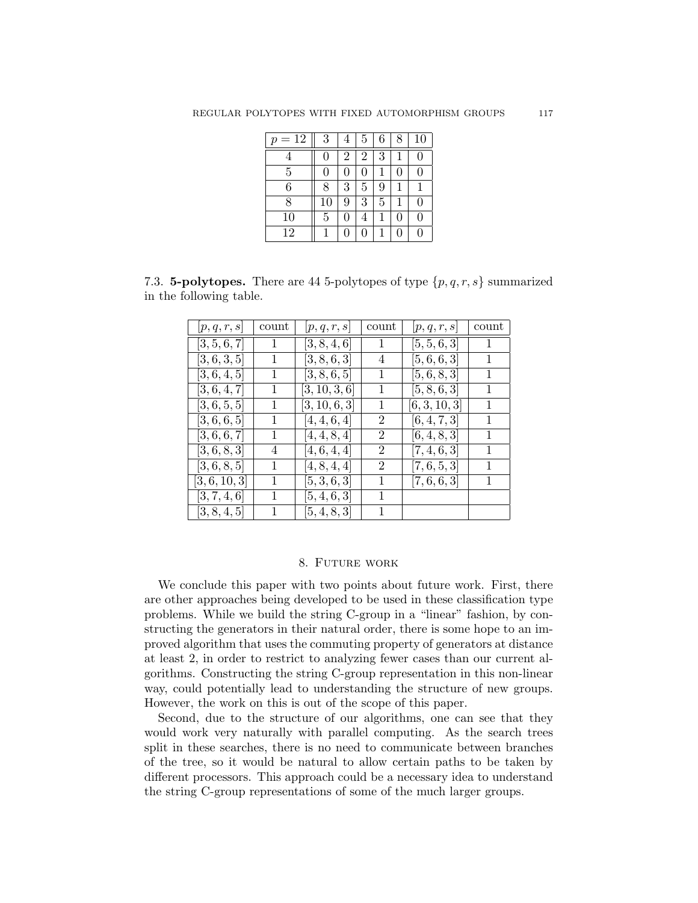| $=12$<br>$\mathcal{p}$ | 3              | 4              | 5              | 6 | 8 | 10 |
|------------------------|----------------|----------------|----------------|---|---|----|
| 4                      | $\overline{0}$ | $\overline{2}$ | $\overline{2}$ | 3 | 1 | 0  |
| $\overline{5}$         | $\overline{0}$ | 0              | 0              | 1 | 0 | 0  |
| 6                      | 8              | 3              | 5              | 9 | 1 |    |
| 8                      | 10             | 9              | 3              | 5 | 1 | 0  |
| 10                     | $\overline{5}$ | 0              | 4              | 1 | 0 | 0  |
| 12                     |                | 0              | 0              | 1 | 0 | 0  |

7.3. **5-polytopes.** There are 44 5-polytopes of type  $\{p,q,r,s\}$  summarized in the following table.

| p,q,r,s      | count | [p, q, r, s]  | count | p,q,r,s      | count |
|--------------|-------|---------------|-------|--------------|-------|
| [3, 5, 6, 7] | 1     | [3, 8, 4, 6]  | 1     | [5, 5, 6, 3] | 1     |
| [3, 6, 3, 5] |       | [3, 8, 6, 3]  | 4     | [5,6,6,3]    |       |
| [3, 6, 4, 5] | 1     | [3, 8, 6, 5]  | 1     | [5, 6, 8, 3] |       |
| [3,6,4,7]    | 1     | [3, 10, 3, 6] | 1     | [5, 8, 6, 3] | 1     |
| [3,6,5,5]    | 1     | [3,10,6,3]    | 1     | [6,3,10,3]   | 1     |
| [3,6,6,5]    | 1     | [4, 4, 6, 4]  | 2     | [6, 4, 7, 3] | 1     |
| [3,6,6,7]    | 1     | [4, 4, 8, 4]  | 2     | [6, 4, 8, 3] |       |
| [3, 6, 8, 3] | 4     | [4, 6, 4, 4]  | 2     | [7, 4, 6, 3] |       |
| [3,6,8,5]    | 1     | [4, 8, 4, 4]  | 2     | [7, 6, 5, 3] | 1     |
| [3,6,10,3]   | 1     | [5,3,6,3]     | 1     | [7, 6, 6, 3] | 1     |
| [3, 7, 4, 6] |       | [5,4,6,3]     |       |              |       |
| [3, 8, 4, 5] |       | [5, 4, 8, 3]  |       |              |       |

# 8. Future work

We conclude this paper with two points about future work. First, there are other approaches being developed to be used in these classification type problems. While we build the string C-group in a "linear" fashion, by constructing the generators in their natural order, there is some hope to an improved algorithm that uses the commuting property of generators at distance at least 2, in order to restrict to analyzing fewer cases than our current algorithms. Constructing the string C-group representation in this non-linear way, could potentially lead to understanding the structure of new groups. However, the work on this is out of the scope of this paper.

Second, due to the structure of our algorithms, one can see that they would work very naturally with parallel computing. As the search trees split in these searches, there is no need to communicate between branches of the tree, so it would be natural to allow certain paths to be taken by different processors. This approach could be a necessary idea to understand the string C-group representations of some of the much larger groups.